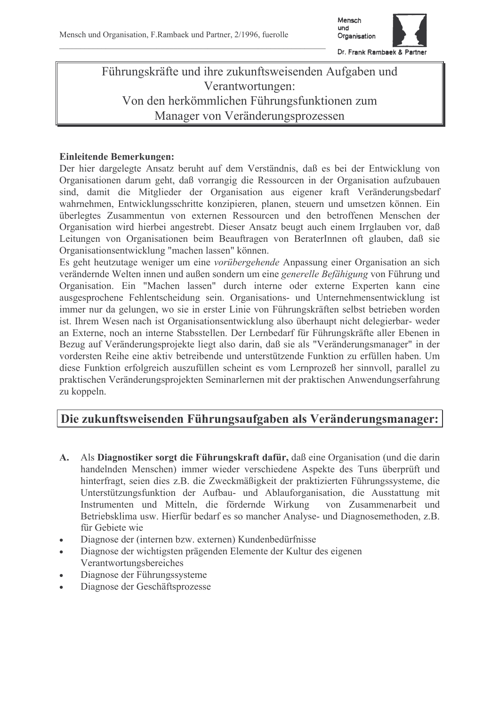

# Führungskräfte und ihre zukunftsweisenden Aufgaben und Verantwortungen: Von den herkömmlichen Führungsfunktionen zum Manager von Veränderungsprozessen

### **Einleitende Bemerkungen:**

Der hier dargelegte Ansatz beruht auf dem Verständnis, daß es bei der Entwicklung von Organisationen darum geht, daß vorrangig die Ressourcen in der Organisation aufzubauen sind, damit die Mitglieder der Organisation aus eigener kraft Veränderungsbedarf wahrnehmen, Entwicklungsschritte konzipieren, planen, steuern und umsetzen können. Ein überlegtes Zusammentun von externen Ressourcen und den betroffenen Menschen der Organisation wird hierbei angestrebt. Dieser Ansatz beugt auch einem Irrglauben vor, daß Leitungen von Organisationen beim Beauftragen von BeraterInnen oft glauben, daß sie Organisationsentwicklung "machen lassen" können.

Es geht heutzutage weniger um eine *vorübergehende* Anpassung einer Organisation an sich verändernde Welten innen und außen sondern um eine generelle Befähigung von Führung und Organisation. Ein "Machen lassen" durch interne oder externe Experten kann eine ausgesprochene Fehlentscheidung sein. Organisations- und Unternehmensentwicklung ist immer nur da gelungen, wo sie in erster Linie von Führungskräften selbst betrieben worden ist. Ihrem Wesen nach ist Organisationsentwicklung also überhaupt nicht delegierbar- weder an Externe, noch an interne Stabsstellen. Der Lernbedarf für Führungskräfte aller Ebenen in Bezug auf Veränderungsprojekte liegt also darin, daß sie als "Veränderungsmanager" in der vordersten Reihe eine aktiv betreibende und unterstützende Funktion zu erfüllen haben. Um diese Funktion erfolgreich auszufüllen scheint es vom Lernprozeß her sinnvoll, parallel zu praktischen Veränderungsprojekten Seminarlernen mit der praktischen Anwendungserfahrung zu koppeln.

### Die zukunftsweisenden Führungsaufgaben als Veränderungsmanager:

- Als Diagnostiker sorgt die Führungskraft dafür, daß eine Organisation (und die darin  $A_{\cdot}$ handelnden Menschen) immer wieder verschiedene Aspekte des Tuns überprüft und hinterfragt, seien dies z.B. die Zweckmäßigkeit der praktizierten Führungssysteme, die Unterstützungsfunktion der Aufbau- und Ablauforganisation, die Ausstattung mit Instrumenten und Mitteln, die fördernde Wirkung von Zusammenarbeit und Betriebsklima usw. Hierfür bedarf es so mancher Analyse- und Diagnosemethoden, z.B. für Gebiete wie
- Diagnose der (internen bzw. externen) Kundenbedürfnisse  $\ddot{\phantom{a}}$
- Diagnose der wichtigsten prägenden Elemente der Kultur des eigenen  $\bullet$ Verantwortungsbereiches
- Diagnose der Führungssysteme
- Diagnose der Geschäftsprozesse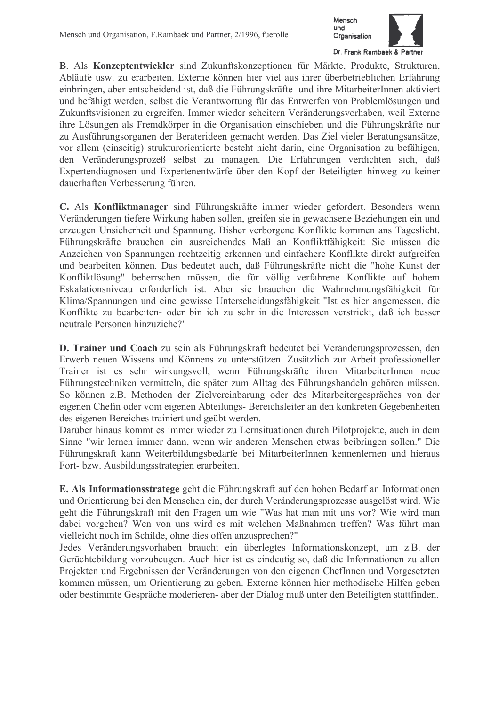

B. Als Konzeptentwickler sind Zukunftskonzeptionen für Märkte, Produkte, Strukturen, Abläufe usw. zu erarbeiten. Externe können hier viel aus ihrer überbetrieblichen Erfahrung einbringen, aber entscheidend ist, daß die Führungskräfte und ihre MitarbeiterInnen aktiviert und befähigt werden, selbst die Verantwortung für das Entwerfen von Problemlösungen und Zukunftsvisionen zu ergreifen. Immer wieder scheitern Veränderungsvorhaben, weil Externe ihre Lösungen als Fremdkörper in die Organisation einschieben und die Führungskräfte nur zu Ausführungsorganen der Beraterideen gemacht werden. Das Ziel vieler Beratungsansätze, vor allem (einseitig) strukturorientierte besteht nicht darin, eine Organisation zu befähigen, den Veränderungsprozeß selbst zu managen. Die Erfahrungen verdichten sich, daß Expertendiagnosen und Expertenentwürfe über den Kopf der Beteiligten hinweg zu keiner dauerhaften Verbesserung führen.

C. Als Konfliktmanager sind Führungskräfte immer wieder gefordert. Besonders wenn Veränderungen tiefere Wirkung haben sollen, greifen sie in gewachsene Beziehungen ein und erzeugen Unsicherheit und Spannung. Bisher verborgene Konflikte kommen ans Tageslicht. Führungskräfte brauchen ein ausreichendes Maß an Konfliktfähigkeit: Sie müssen die Anzeichen von Spannungen rechtzeitig erkennen und einfachere Konflikte direkt aufgreifen und bearbeiten können. Das bedeutet auch, daß Führungskräfte nicht die "hohe Kunst der Konfliktlösung" beherrschen müssen, die für völlig verfahrene Konflikte auf hohem Eskalationsniveau erforderlich ist. Aber sie brauchen die Wahrnehmungsfähigkeit für Klima/Spannungen und eine gewisse Unterscheidungsfähigkeit "Ist es hier angemessen, die Konflikte zu bearbeiten- oder bin ich zu sehr in die Interessen verstrickt, daß ich besser neutrale Personen hinzuziehe?"

D. Trainer und Coach zu sein als Führungskraft bedeutet bei Veränderungsprozessen, den Erwerb neuen Wissens und Könnens zu unterstützen. Zusätzlich zur Arbeit professioneller Trainer ist es sehr wirkungsvoll, wenn Führungskräfte ihren MitarbeiterInnen neue Führungstechniken vermitteln, die später zum Alltag des Führungshandeln gehören müssen. So können z.B. Methoden der Zielvereinbarung oder des Mitarbeitergespräches von der eigenen Chefin oder vom eigenen Abteilungs- Bereichsleiter an den konkreten Gegebenheiten des eigenen Bereiches trainiert und geübt werden.

Darüber hinaus kommt es immer wieder zu Lernsituationen durch Pilotprojekte, auch in dem Sinne "wir lernen immer dann, wenn wir anderen Menschen etwas beibringen sollen." Die Führungskraft kann Weiterbildungsbedarfe bei MitarbeiterInnen kennenlernen und hieraus Fort- bzw. Ausbildungsstrategien erarbeiten.

E. Als Informationsstratege geht die Führungskraft auf den hohen Bedarf an Informationen und Orientierung bei den Menschen ein, der durch Veränderungsprozesse ausgelöst wird. Wie geht die Führungskraft mit den Fragen um wie "Was hat man mit uns vor? Wie wird man dabei vorgehen? Wen von uns wird es mit welchen Maßnahmen treffen? Was führt man vielleicht noch im Schilde, ohne dies offen anzusprechen?"

Jedes Veränderungsvorhaben braucht ein überlegtes Informationskonzept, um z.B. der Gerüchtebildung vorzubeugen. Auch hier ist es eindeutig so, daß die Informationen zu allen Projekten und Ergebnissen der Veränderungen von den eigenen ChefInnen und Vorgesetzten kommen müssen, um Orientierung zu geben. Externe können hier methodische Hilfen geben oder bestimmte Gespräche moderieren- aber der Dialog muß unter den Beteiligten stattfinden.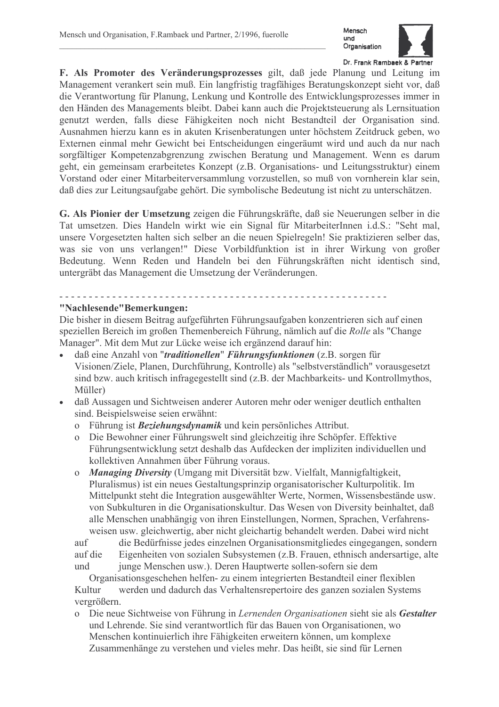

F. Als Promoter des Veränderungsprozesses gilt, daß jede Planung und Leitung im Management verankert sein muß. Ein langfristig tragfähiges Beratungskonzept sieht vor, daß die Verantwortung für Planung, Lenkung und Kontrolle des Entwicklungsprozesses immer in den Händen des Managements bleibt. Dabei kann auch die Projektsteuerung als Lernsituation genutzt werden, falls diese Fähigkeiten noch nicht Bestandteil der Organisation sind. Ausnahmen hierzu kann es in akuten Krisenberatungen unter höchstem Zeitdruck geben, wo Externen einmal mehr Gewicht bei Entscheidungen eingeräumt wird und auch da nur nach sorgfältiger Kompetenzabgrenzung zwischen Beratung und Management. Wenn es darum geht, ein gemeinsam erarbeitetes Konzept (z.B. Organisations- und Leitungsstruktur) einem Vorstand oder einer Mitarbeiterversammlung vorzustellen, so muß von vornherein klar sein, daß dies zur Leitungsaufgabe gehört. Die symbolische Bedeutung ist nicht zu unterschätzen.

G. Als Pionier der Umsetzung zeigen die Führungskräfte, daß sie Neuerungen selber in die Tat umsetzen. Dies Handeln wirkt wie ein Signal für MitarbeiterInnen i.d.S.: "Seht mal, unsere Vorgesetzten halten sich selber an die neuen Spielregeln! Sie praktizieren selber das, was sie von uns verlangen!" Diese Vorbildfunktion ist in ihrer Wirkung von großer Bedeutung. Wenn Reden und Handeln bei den Führungskräften nicht identisch sind, untergräbt das Management die Umsetzung der Veränderungen.

# "Nachlesende"Bemerkungen:

Die bisher in diesem Beitrag aufgeführten Führungsaufgaben konzentrieren sich auf einen speziellen Bereich im großen Themenbereich Führung, nämlich auf die Rolle als "Change Manager". Mit dem Mut zur Lücke weise ich ergänzend darauf hin:

- daß eine Anzahl von "*traditionellen*" Führungsfunktionen (z.B. sorgen für Visionen/Ziele, Planen, Durchführung, Kontrolle) als "selbstverständlich" vorausgesetzt sind bzw. auch kritisch infragegestellt sind (z.B. der Machbarkeits- und Kontrollmythos, Müller)
- daß Aussagen und Sichtweisen anderer Autoren mehr oder weniger deutlich enthalten sind. Beispielsweise seien erwähnt:
	- o Führung ist **Beziehungsdynamik** und kein persönliches Attribut.
	- o Die Bewohner einer Führungswelt sind gleichzeitig ihre Schöpfer. Effektive Führungsentwicklung setzt deshalb das Aufdecken der impliziten individuellen und kollektiven Annahmen über Führung voraus.
	- o Managing Diversity (Umgang mit Diversität bzw. Vielfalt, Mannigfaltigkeit, Pluralismus) ist ein neues Gestaltungsprinzip organisatorischer Kulturpolitik. Im Mittelpunkt steht die Integration ausgewählter Werte, Normen, Wissensbestände usw. von Subkulturen in die Organisationskultur. Das Wesen von Diversity beinhaltet, daß alle Menschen unabhängig von ihren Einstellungen, Normen, Sprachen, Verfahrensweisen usw. gleichwertig, aber nicht gleichartig behandelt werden. Dabei wird nicht

die Bedürfnisse jedes einzelnen Organisationsmitgliedes eingegangen, sondern  $\int$ auf auf die Eigenheiten von sozialen Subsystemen (z.B. Frauen, ethnisch andersartige, alte junge Menschen usw.). Deren Hauptwerte sollen-sofern sie dem und

Organisationsgeschehen helfen- zu einem integrierten Bestandteil einer flexiblen werden und dadurch das Verhaltensrepertoire des ganzen sozialen Systems Kultur vergrößern.

o Die neue Sichtweise von Führung in Lernenden Organisationen sieht sie als Gestalter und Lehrende. Sie sind verantwortlich für das Bauen von Organisationen, wo Menschen kontinuierlich ihre Fähigkeiten erweitern können, um komplexe Zusammenhänge zu verstehen und vieles mehr. Das heißt, sie sind für Lernen